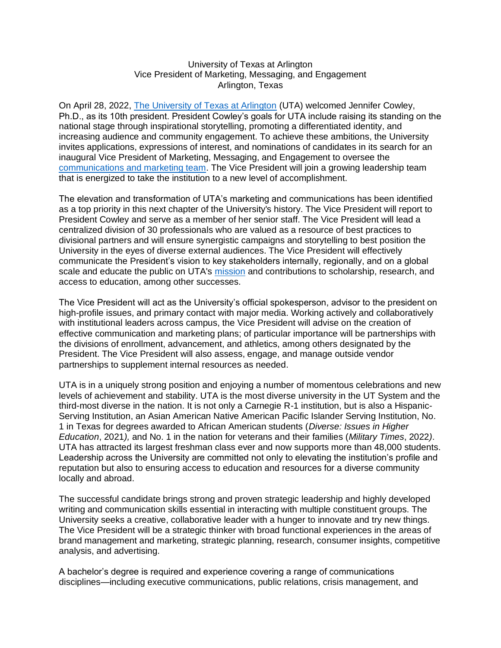## University of Texas at Arlington Vice President of Marketing, Messaging, and Engagement Arlington, Texas

On April 28, 2022, [The University of Texas at Arlington](https://www.uta.edu/) (UTA) welcomed Jennifer Cowley, Ph.D., as its 10th president. President Cowley's goals for UTA include raising its standing on the national stage through inspirational storytelling, promoting a differentiated identity, and increasing audience and community engagement. To achieve these ambitions, the University invites applications, expressions of interest, and nominations of candidates in its search for an inaugural Vice President of Marketing, Messaging, and Engagement to oversee the [communications and marketing team.](https://www.uta.edu/administration/advancement/communications) The Vice President will join a growing leadership team that is energized to take the institution to a new level of accomplishment.

The elevation and transformation of UTA's marketing and communications has been identified as a top priority in this next chapter of the University's history. The Vice President will report to President Cowley and serve as a member of her senior staff. The Vice President will lead a centralized division of 30 professionals who are valued as a resource of best practices to divisional partners and will ensure synergistic campaigns and storytelling to best position the University in the eyes of diverse external audiences. The Vice President will effectively communicate the President's vision to key stakeholders internally, regionally, and on a global scale and educate the public on UTA's [mission](https://www.uta.edu/about/mission) and contributions to scholarship, research, and access to education, among other successes.

The Vice President will act as the University's official spokesperson, advisor to the president on high-profile issues, and primary contact with major media. Working actively and collaboratively with institutional leaders across campus, the Vice President will advise on the creation of effective communication and marketing plans; of particular importance will be partnerships with the divisions of enrollment, advancement, and athletics, among others designated by the President. The Vice President will also assess, engage, and manage outside vendor partnerships to supplement internal resources as needed.

UTA is in a uniquely strong position and enjoying a number of momentous celebrations and new levels of achievement and stability. UTA is the most diverse university in the UT System and the third-most diverse in the nation. It is not only a Carnegie R-1 institution, but is also a Hispanic-Serving Institution, an Asian American Native American Pacific Islander Serving Institution, No. 1 in Texas for degrees awarded to African American students (*Diverse: Issues in Higher Education*, 2021*),* and No. 1 in the nation for veterans and their families (*Military Times*, 2022*)*. UTA has attracted its largest freshman class ever and now supports more than 48,000 students. Leadership across the University are committed not only to elevating the institution's profile and reputation but also to ensuring access to education and resources for a diverse community locally and abroad.

The successful candidate brings strong and proven strategic leadership and highly developed writing and communication skills essential in interacting with multiple constituent groups. The University seeks a creative, collaborative leader with a hunger to innovate and try new things. The Vice President will be a strategic thinker with broad functional experiences in the areas of brand management and marketing, strategic planning, research, consumer insights, competitive analysis, and advertising.

A bachelor's degree is required and experience covering a range of communications disciplines—including executive communications, public relations, crisis management, and